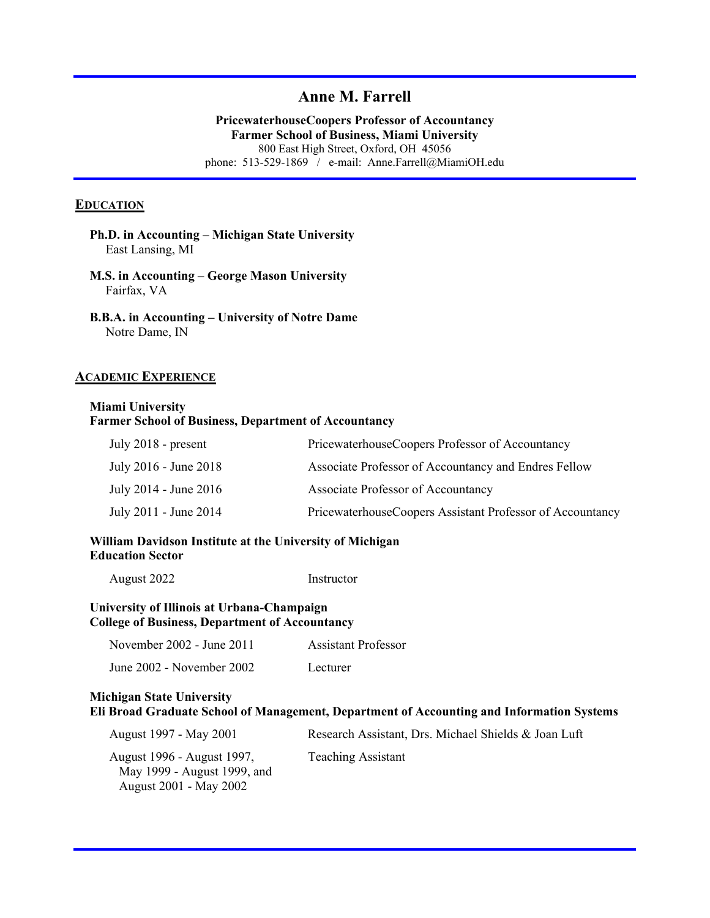## **Anne M. Farrell**

**PricewaterhouseCoopers Professor of Accountancy Farmer School of Business, Miami University**  800 East High Street, Oxford, OH 45056 phone: 513-529-1869 / e-mail: Anne.Farrell@MiamiOH.edu

#### **EDUCATION**

- **Ph.D. in Accounting Michigan State University** East Lansing, MI
- **M.S. in Accounting George Mason University** Fairfax, VA
- **B.B.A. in Accounting University of Notre Dame** Notre Dame, IN

#### **ACADEMIC EXPERIENCE**

#### **Miami University Farmer School of Business, Department of Accountancy**

| July 2018 - present   | PricewaterhouseCoopers Professor of Accountancy           |
|-----------------------|-----------------------------------------------------------|
| July 2016 - June 2018 | Associate Professor of Accountancy and Endres Fellow      |
| July 2014 - June 2016 | Associate Professor of Accountancy                        |
| July 2011 - June 2014 | PricewaterhouseCoopers Assistant Professor of Accountancy |

### **William Davidson Institute at the University of Michigan Education Sector**

| August 2022 | Instructor |
|-------------|------------|
|             |            |

#### **University of Illinois at Urbana-Champaign College of Business, Department of Accountancy**

| November 2002 - June 2011 | Assistant Professor |
|---------------------------|---------------------|
| June 2002 - November 2002 | Lecturer            |

#### **Michigan State University Eli Broad Graduate School of Management, Department of Accounting and Information Systems**

| August 1997 - May 2001                                                              | Research Assistant, Drs. Michael Shields & Joan Luft |
|-------------------------------------------------------------------------------------|------------------------------------------------------|
| August 1996 - August 1997,<br>May 1999 - August 1999, and<br>August 2001 - May 2002 | <b>Teaching Assistant</b>                            |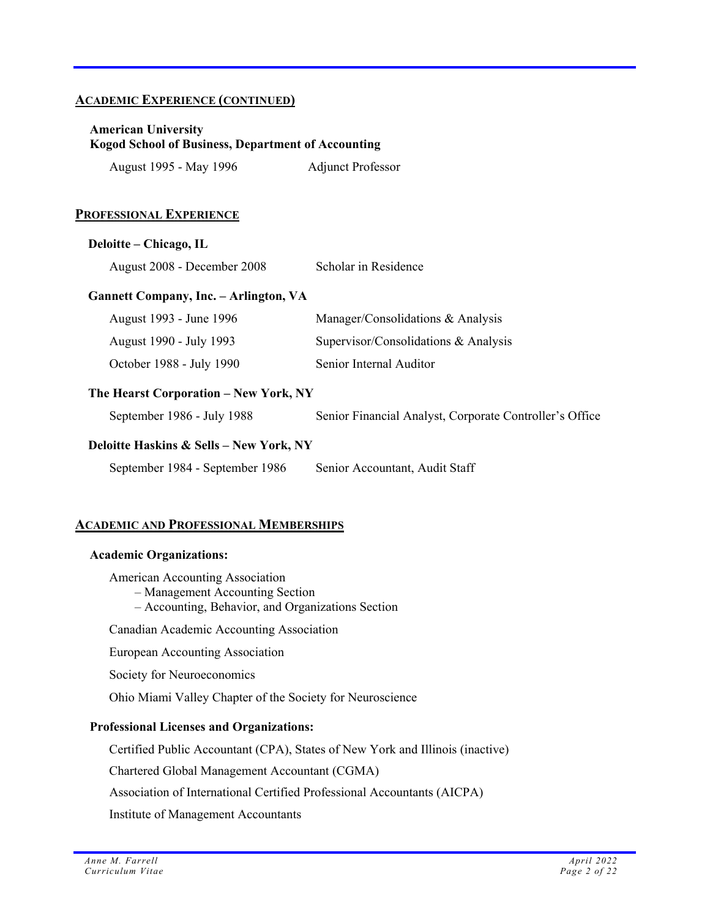### **ACADEMIC EXPERIENCE (CONTINUED)**

### **American University Kogod School of Business, Department of Accounting**

| August 1995 - May 1996 | <b>Adjunct Professor</b> |
|------------------------|--------------------------|
|------------------------|--------------------------|

### **PROFESSIONAL EXPERIENCE**

#### **Deloitte – Chicago, IL**

August 2008 - December 2008 Scholar in Residence

### **Gannett Company, Inc. – Arlington, VA**

| August 1993 - June 1996  | Manager/Consolidations & Analysis    |
|--------------------------|--------------------------------------|
| August 1990 - July 1993  | Supervisor/Consolidations & Analysis |
| October 1988 - July 1990 | Senior Internal Auditor              |

### **The Hearst Corporation – New York, NY**

September 1986 - July 1988 Senior Financial Analyst, Corporate Controller's Office

### **Deloitte Haskins & Sells – New York, NY**

September 1984 - September 1986 Senior Accountant, Audit Staff

### **ACADEMIC AND PROFESSIONAL MEMBERSHIPS**

#### **Academic Organizations:**

American Accounting Association

- Management Accounting Section
- Accounting, Behavior, and Organizations Section

Canadian Academic Accounting Association

European Accounting Association

Society for Neuroeconomics

Ohio Miami Valley Chapter of the Society for Neuroscience

### **Professional Licenses and Organizations:**

Certified Public Accountant (CPA), States of New York and Illinois (inactive)

Chartered Global Management Accountant (CGMA)

Association of International Certified Professional Accountants (AICPA)

Institute of Management Accountants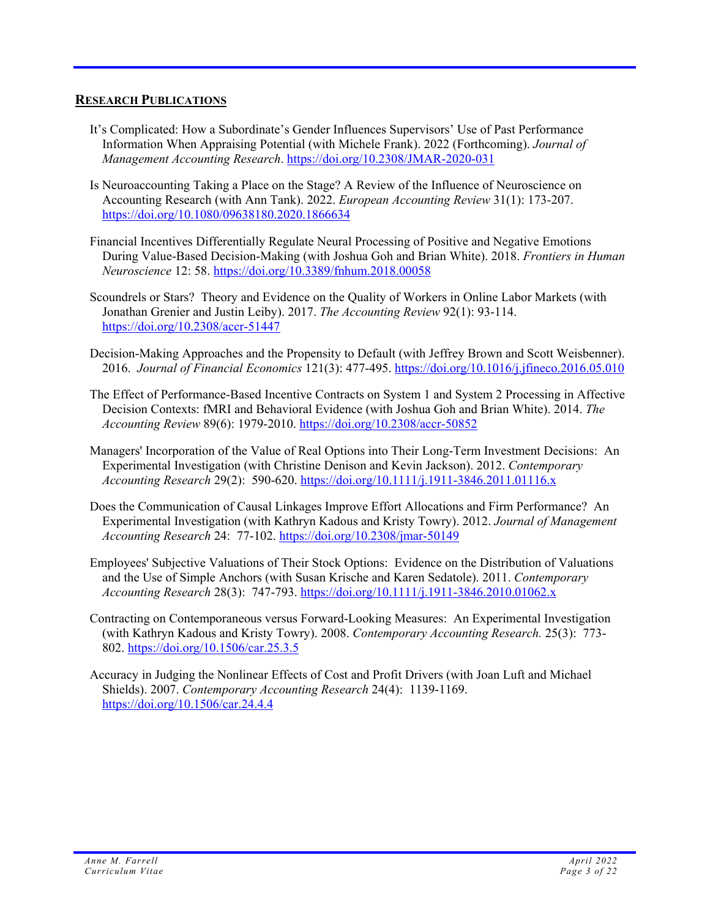### **RESEARCH PUBLICATIONS**

- It's Complicated: How a Subordinate's Gender Influences Supervisors' Use of Past Performance Information When Appraising Potential (with Michele Frank). 2022 (Forthcoming). *Journal of Management Accounting Research*. https://doi.org/10.2308/JMAR-2020-031
- Is Neuroaccounting Taking a Place on the Stage? A Review of the Influence of Neuroscience on Accounting Research (with Ann Tank). 2022. *European Accounting Review* 31(1): 173-207. https://doi.org/10.1080/09638180.2020.1866634
- Financial Incentives Differentially Regulate Neural Processing of Positive and Negative Emotions During Value-Based Decision-Making (with Joshua Goh and Brian White). 2018. *Frontiers in Human Neuroscience* 12: 58. https://doi.org/10.3389/fnhum.2018.00058
- Scoundrels or Stars? Theory and Evidence on the Quality of Workers in Online Labor Markets (with Jonathan Grenier and Justin Leiby). 2017. *The Accounting Review* 92(1): 93-114. https://doi.org/10.2308/accr-51447
- Decision-Making Approaches and the Propensity to Default (with Jeffrey Brown and Scott Weisbenner). 2016. *Journal of Financial Economics* 121(3): 477-495. https://doi.org/10.1016/j.jfineco.2016.05.010
- The Effect of Performance-Based Incentive Contracts on System 1 and System 2 Processing in Affective Decision Contexts: fMRI and Behavioral Evidence (with Joshua Goh and Brian White). 2014. *The Accounting Review* 89(6): 1979-2010. https://doi.org/10.2308/accr-50852
- Managers' Incorporation of the Value of Real Options into Their Long-Term Investment Decisions: An Experimental Investigation (with Christine Denison and Kevin Jackson). 2012. *Contemporary Accounting Research* 29(2): 590-620. https://doi.org/10.1111/j.1911-3846.2011.01116.x
- Does the Communication of Causal Linkages Improve Effort Allocations and Firm Performance? An Experimental Investigation (with Kathryn Kadous and Kristy Towry). 2012. *Journal of Management Accounting Research* 24: 77-102. https://doi.org/10.2308/jmar-50149
- Employees' Subjective Valuations of Their Stock Options: Evidence on the Distribution of Valuations and the Use of Simple Anchors (with Susan Krische and Karen Sedatole). 2011. *Contemporary Accounting Research* 28(3): 747-793. https://doi.org/10.1111/j.1911-3846.2010.01062.x
- Contracting on Contemporaneous versus Forward-Looking Measures: An Experimental Investigation (with Kathryn Kadous and Kristy Towry). 2008. *Contemporary Accounting Research.* 25(3): 773- 802. https://doi.org/10.1506/car.25.3.5
- Accuracy in Judging the Nonlinear Effects of Cost and Profit Drivers (with Joan Luft and Michael Shields). 2007. *Contemporary Accounting Research* 24(4): 1139-1169. https://doi.org/10.1506/car.24.4.4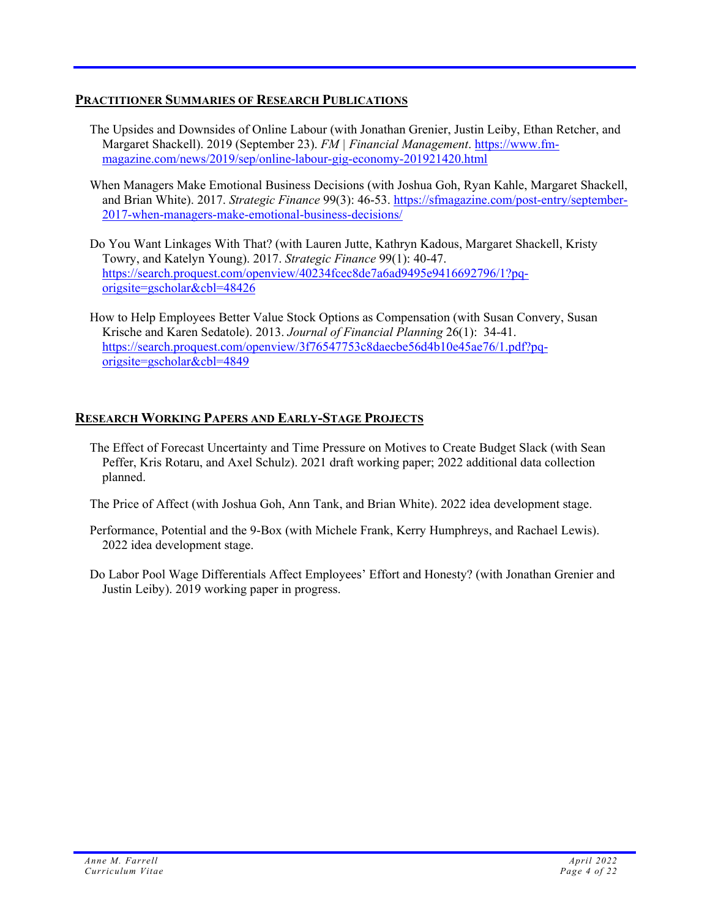## **PRACTITIONER SUMMARIES OF RESEARCH PUBLICATIONS**

- The Upsides and Downsides of Online Labour (with Jonathan Grenier, Justin Leiby, Ethan Retcher, and Margaret Shackell). 2019 (September 23). *FM | Financial Management*. https://www.fmmagazine.com/news/2019/sep/online-labour-gig-economy-201921420.html
- When Managers Make Emotional Business Decisions (with Joshua Goh, Ryan Kahle, Margaret Shackell, and Brian White). 2017. *Strategic Finance* 99(3): 46-53. https://sfmagazine.com/post-entry/september-2017-when-managers-make-emotional-business-decisions/
- Do You Want Linkages With That? (with Lauren Jutte, Kathryn Kadous, Margaret Shackell, Kristy Towry, and Katelyn Young). 2017. *Strategic Finance* 99(1): 40-47. https://search.proquest.com/openview/40234fcec8de7a6ad9495e9416692796/1?pqorigsite=gscholar&cbl=48426
- How to Help Employees Better Value Stock Options as Compensation (with Susan Convery, Susan Krische and Karen Sedatole). 2013. *Journal of Financial Planning* 26(1): 34-41. https://search.proquest.com/openview/3f76547753c8daecbe56d4b10e45ae76/1.pdf?pqorigsite=gscholar&cbl=4849

### **RESEARCH WORKING PAPERS AND EARLY-STAGE PROJECTS**

The Effect of Forecast Uncertainty and Time Pressure on Motives to Create Budget Slack (with Sean Peffer, Kris Rotaru, and Axel Schulz). 2021 draft working paper; 2022 additional data collection planned.

The Price of Affect (with Joshua Goh, Ann Tank, and Brian White). 2022 idea development stage.

- Performance, Potential and the 9-Box (with Michele Frank, Kerry Humphreys, and Rachael Lewis). 2022 idea development stage.
- Do Labor Pool Wage Differentials Affect Employees' Effort and Honesty? (with Jonathan Grenier and Justin Leiby). 2019 working paper in progress.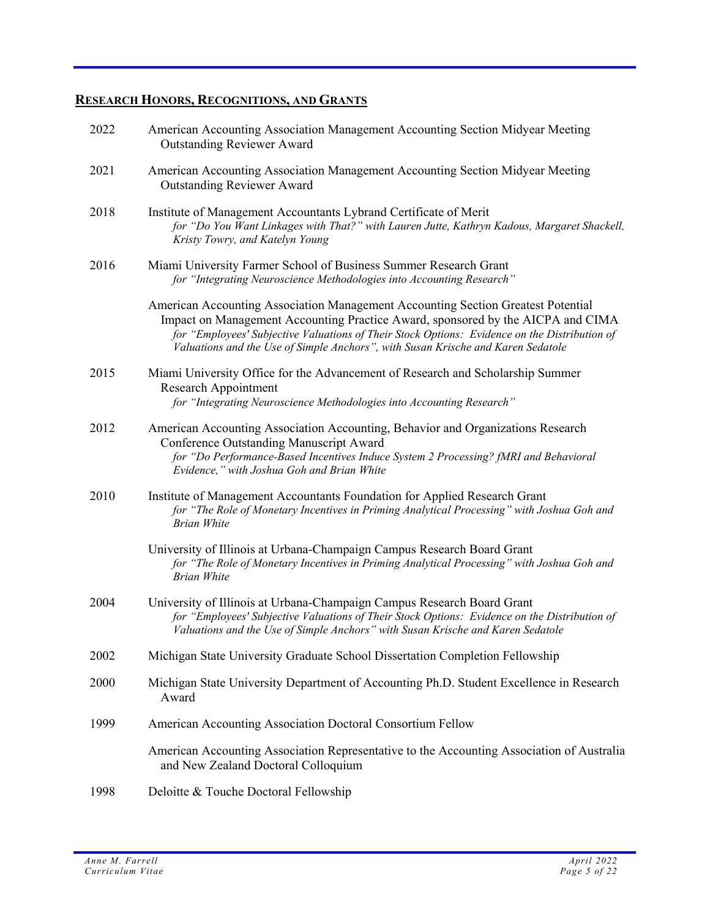# **RESEARCH HONORS, RECOGNITIONS, AND GRANTS**

| 2022 | American Accounting Association Management Accounting Section Midyear Meeting<br><b>Outstanding Reviewer Award</b>                                                                                                                                                                                                                                       |
|------|----------------------------------------------------------------------------------------------------------------------------------------------------------------------------------------------------------------------------------------------------------------------------------------------------------------------------------------------------------|
| 2021 | American Accounting Association Management Accounting Section Midyear Meeting<br><b>Outstanding Reviewer Award</b>                                                                                                                                                                                                                                       |
| 2018 | Institute of Management Accountants Lybrand Certificate of Merit<br>for "Do You Want Linkages with That?" with Lauren Jutte, Kathryn Kadous, Margaret Shackell,<br>Kristy Towry, and Katelyn Young                                                                                                                                                       |
| 2016 | Miami University Farmer School of Business Summer Research Grant<br>for "Integrating Neuroscience Methodologies into Accounting Research"                                                                                                                                                                                                                |
|      | American Accounting Association Management Accounting Section Greatest Potential<br>Impact on Management Accounting Practice Award, sponsored by the AICPA and CIMA<br>for "Employees' Subjective Valuations of Their Stock Options: Evidence on the Distribution of<br>Valuations and the Use of Simple Anchors", with Susan Krische and Karen Sedatole |
| 2015 | Miami University Office for the Advancement of Research and Scholarship Summer<br>Research Appointment<br>for "Integrating Neuroscience Methodologies into Accounting Research"                                                                                                                                                                          |
| 2012 | American Accounting Association Accounting, Behavior and Organizations Research<br>Conference Outstanding Manuscript Award<br>for "Do Performance-Based Incentives Induce System 2 Processing? fMRI and Behavioral<br>Evidence," with Joshua Goh and Brian White                                                                                         |
| 2010 | Institute of Management Accountants Foundation for Applied Research Grant<br>for "The Role of Monetary Incentives in Priming Analytical Processing" with Joshua Goh and<br><b>Brian White</b>                                                                                                                                                            |
|      | University of Illinois at Urbana-Champaign Campus Research Board Grant<br>for "The Role of Monetary Incentives in Priming Analytical Processing" with Joshua Goh and<br><b>Brian White</b>                                                                                                                                                               |
| 2004 | University of Illinois at Urbana-Champaign Campus Research Board Grant<br>for "Employees' Subjective Valuations of Their Stock Options: Evidence on the Distribution of<br>Valuations and the Use of Simple Anchors" with Susan Krische and Karen Sedatole                                                                                               |
| 2002 | Michigan State University Graduate School Dissertation Completion Fellowship                                                                                                                                                                                                                                                                             |
| 2000 | Michigan State University Department of Accounting Ph.D. Student Excellence in Research<br>Award                                                                                                                                                                                                                                                         |
| 1999 | American Accounting Association Doctoral Consortium Fellow                                                                                                                                                                                                                                                                                               |
|      | American Accounting Association Representative to the Accounting Association of Australia<br>and New Zealand Doctoral Colloquium                                                                                                                                                                                                                         |
| 1998 | Deloitte & Touche Doctoral Fellowship                                                                                                                                                                                                                                                                                                                    |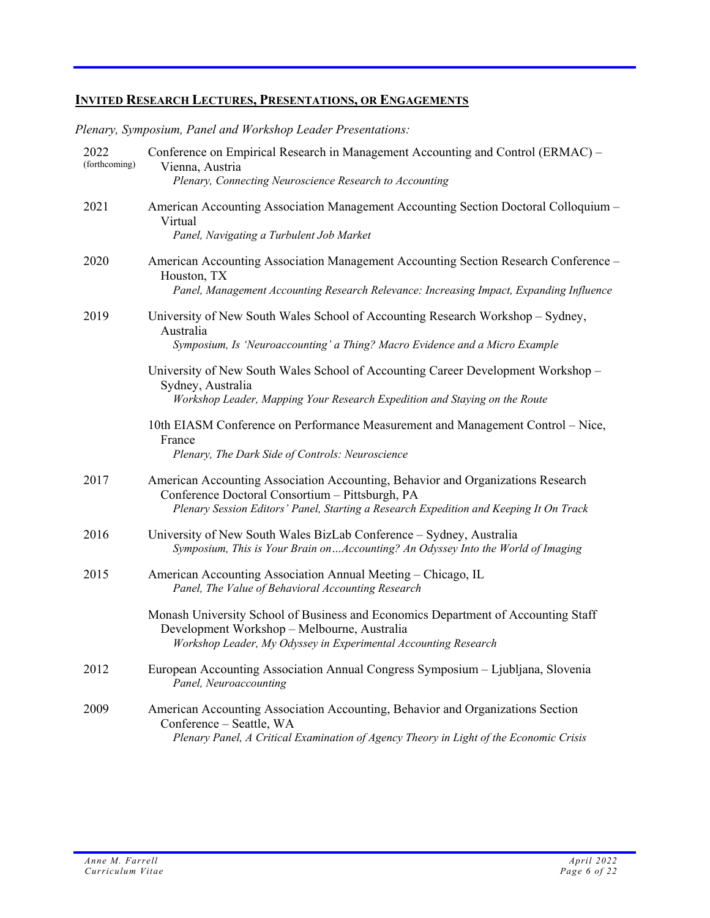*Plenary, Symposium, Panel and Workshop Leader Presentations:* 

| 2022<br>(forthcoming) | Conference on Empirical Research in Management Accounting and Control (ERMAC) -<br>Vienna, Austria<br>Plenary, Connecting Neuroscience Research to Accounting                                                                |
|-----------------------|------------------------------------------------------------------------------------------------------------------------------------------------------------------------------------------------------------------------------|
| 2021                  | American Accounting Association Management Accounting Section Doctoral Colloquium -<br>Virtual<br>Panel, Navigating a Turbulent Job Market                                                                                   |
| 2020                  | American Accounting Association Management Accounting Section Research Conference -<br>Houston, TX<br>Panel, Management Accounting Research Relevance: Increasing Impact, Expanding Influence                                |
| 2019                  | University of New South Wales School of Accounting Research Workshop - Sydney,<br>Australia<br>Symposium, Is 'Neuroaccounting' a Thing? Macro Evidence and a Micro Example                                                   |
|                       | University of New South Wales School of Accounting Career Development Workshop –<br>Sydney, Australia<br>Workshop Leader, Mapping Your Research Expedition and Staying on the Route                                          |
|                       | 10th EIASM Conference on Performance Measurement and Management Control - Nice,<br>France<br>Plenary, The Dark Side of Controls: Neuroscience                                                                                |
| 2017                  | American Accounting Association Accounting, Behavior and Organizations Research<br>Conference Doctoral Consortium - Pittsburgh, PA<br>Plenary Session Editors' Panel, Starting a Research Expedition and Keeping It On Track |
| 2016                  | University of New South Wales BizLab Conference - Sydney, Australia<br>Symposium, This is Your Brain on  Accounting? An Odyssey Into the World of Imaging                                                                    |
| 2015                  | American Accounting Association Annual Meeting – Chicago, IL<br>Panel, The Value of Behavioral Accounting Research                                                                                                           |
|                       | Monash University School of Business and Economics Department of Accounting Staff<br>Development Workshop - Melbourne, Australia<br>Workshop Leader, My Odyssey in Experimental Accounting Research                          |
| 2012                  | European Accounting Association Annual Congress Symposium - Ljubljana, Slovenia<br>Panel, Neuroaccounting                                                                                                                    |
| 2009                  | American Accounting Association Accounting, Behavior and Organizations Section<br>Conference - Seattle, WA<br>Plenary Panel, A Critical Examination of Agency Theory in Light of the Economic Crisis                         |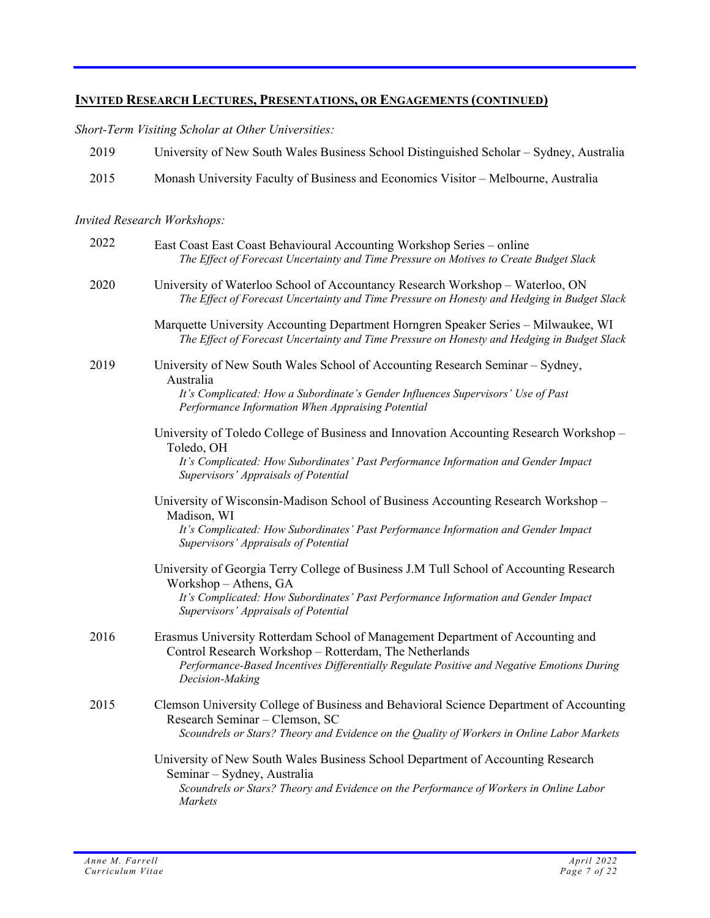*Short-Term Visiting Scholar at Other Universities:* 

| 2019 | University of New South Wales Business School Distinguished Scholar – Sydney, Australia |
|------|-----------------------------------------------------------------------------------------|
| 2015 | Monash University Faculty of Business and Economics Visitor – Melbourne, Australia      |
|      |                                                                                         |

## *Invited Research Workshops:*

| 2022 | East Coast East Coast Behavioural Accounting Workshop Series - online<br>The Effect of Forecast Uncertainty and Time Pressure on Motives to Create Budget Slack                                                                                           |
|------|-----------------------------------------------------------------------------------------------------------------------------------------------------------------------------------------------------------------------------------------------------------|
| 2020 | University of Waterloo School of Accountancy Research Workshop - Waterloo, ON<br>The Effect of Forecast Uncertainty and Time Pressure on Honesty and Hedging in Budget Slack                                                                              |
|      | Marquette University Accounting Department Horngren Speaker Series - Milwaukee, WI<br>The Effect of Forecast Uncertainty and Time Pressure on Honesty and Hedging in Budget Slack                                                                         |
| 2019 | University of New South Wales School of Accounting Research Seminar - Sydney,<br>Australia<br>It's Complicated: How a Subordinate's Gender Influences Supervisors' Use of Past<br>Performance Information When Appraising Potential                       |
|      | University of Toledo College of Business and Innovation Accounting Research Workshop -<br>Toledo, OH<br>It's Complicated: How Subordinates' Past Performance Information and Gender Impact<br>Supervisors' Appraisals of Potential                        |
|      | University of Wisconsin-Madison School of Business Accounting Research Workshop -<br>Madison, WI<br>It's Complicated: How Subordinates' Past Performance Information and Gender Impact<br>Supervisors' Appraisals of Potential                            |
|      | University of Georgia Terry College of Business J.M Tull School of Accounting Research<br>Workshop - Athens, GA<br>It's Complicated: How Subordinates' Past Performance Information and Gender Impact<br>Supervisors' Appraisals of Potential             |
| 2016 | Erasmus University Rotterdam School of Management Department of Accounting and<br>Control Research Workshop - Rotterdam, The Netherlands<br>Performance-Based Incentives Differentially Regulate Positive and Negative Emotions During<br>Decision-Making |
| 2015 | Clemson University College of Business and Behavioral Science Department of Accounting<br>Research Seminar - Clemson, SC<br>Scoundrels or Stars? Theory and Evidence on the Quality of Workers in Online Labor Markets                                    |
|      | University of New South Wales Business School Department of Accounting Research<br>Seminar - Sydney, Australia<br>Scoundrels or Stars? Theory and Evidence on the Performance of Workers in Online Labor<br>Markets                                       |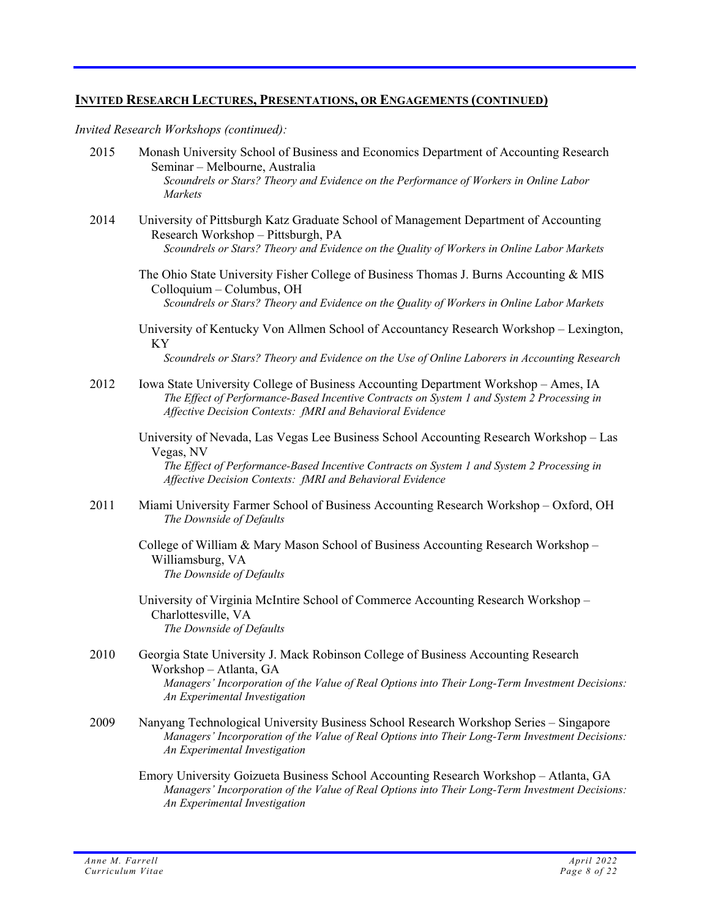*Invited Research Workshops (continued):* 

- 2015 Monash University School of Business and Economics Department of Accounting Research Seminar – Melbourne, Australia *Scoundrels or Stars? Theory and Evidence on the Performance of Workers in Online Labor Markets*
- 2014 University of Pittsburgh Katz Graduate School of Management Department of Accounting Research Workshop – Pittsburgh, PA *Scoundrels or Stars? Theory and Evidence on the Quality of Workers in Online Labor Markets* 
	- The Ohio State University Fisher College of Business Thomas J. Burns Accounting & MIS Colloquium – Columbus, OH *Scoundrels or Stars? Theory and Evidence on the Quality of Workers in Online Labor Markets*
	- University of Kentucky Von Allmen School of Accountancy Research Workshop Lexington, KY *Scoundrels or Stars? Theory and Evidence on the Use of Online Laborers in Accounting Research*
- 2012 Iowa State University College of Business Accounting Department Workshop Ames, IA *The Effect of Performance-Based Incentive Contracts on System 1 and System 2 Processing in Affective Decision Contexts: fMRI and Behavioral Evidence* 
	- University of Nevada, Las Vegas Lee Business School Accounting Research Workshop Las Vegas, NV

*The Effect of Performance-Based Incentive Contracts on System 1 and System 2 Processing in Affective Decision Contexts: fMRI and Behavioral Evidence*

- 2011 Miami University Farmer School of Business Accounting Research Workshop Oxford, OH *The Downside of Defaults* 
	- College of William & Mary Mason School of Business Accounting Research Workshop Williamsburg, VA *The Downside of Defaults*
	- University of Virginia McIntire School of Commerce Accounting Research Workshop Charlottesville, VA *The Downside of Defaults*
- 2010 Georgia State University J. Mack Robinson College of Business Accounting Research Workshop – Atlanta, GA *Managers' Incorporation of the Value of Real Options into Their Long-Term Investment Decisions: An Experimental Investigation*
- 2009 Nanyang Technological University Business School Research Workshop Series Singapore *Managers' Incorporation of the Value of Real Options into Their Long-Term Investment Decisions: An Experimental Investigation* 
	- Emory University Goizueta Business School Accounting Research Workshop Atlanta, GA *Managers' Incorporation of the Value of Real Options into Their Long-Term Investment Decisions: An Experimental Investigation*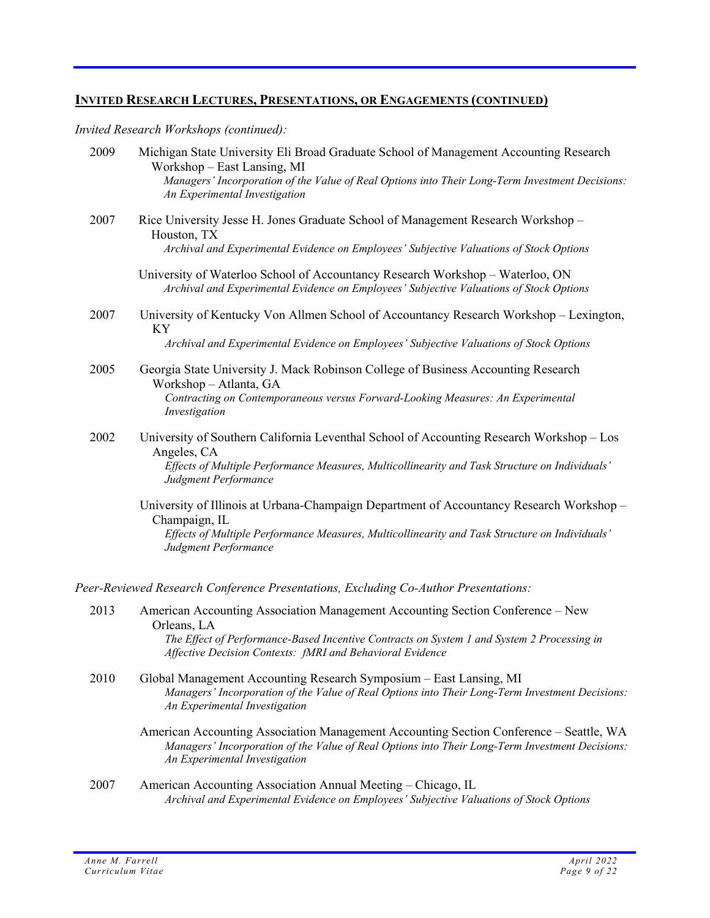*Invited Research Workshops (continued):* 

| 2009 | Michigan State University Eli Broad Graduate School of Management Accounting Research<br>Workshop – East Lansing, MI<br>Managers' Incorporation of the Value of Real Options into Their Long-Term Investment Decisions:<br>An Experimental Investigation |
|------|----------------------------------------------------------------------------------------------------------------------------------------------------------------------------------------------------------------------------------------------------------|
| 2007 | Rice University Jesse H. Jones Graduate School of Management Research Workshop -<br>Houston, TX<br>Archival and Experimental Evidence on Employees' Subjective Valuations of Stock Options                                                               |
|      | University of Waterloo School of Accountancy Research Workshop - Waterloo, ON<br>Archival and Experimental Evidence on Employees' Subjective Valuations of Stock Options                                                                                 |
| 2007 | University of Kentucky Von Allmen School of Accountancy Research Workshop - Lexington,<br>KY<br>Archival and Experimental Evidence on Employees' Subjective Valuations of Stock Options                                                                  |
| 2005 | Georgia State University J. Mack Robinson College of Business Accounting Research<br>Workshop - Atlanta, GA<br>Contracting on Contemporaneous versus Forward-Looking Measures: An Experimental<br>Investigation                                          |
| 2002 | University of Southern California Leventhal School of Accounting Research Workshop - Los<br>Angeles, CA<br>Effects of Multiple Performance Measures, Multicollinearity and Task Structure on Individuals'<br>Judgment Performance                        |
|      | University of Illinois at Urbana-Champaign Department of Accountancy Research Workshop -<br>Champaign, IL<br>Effects of Multiple Performance Measures, Multicollinearity and Task Structure on Individuals'<br>Judgment Performance                      |
|      | Peer-Reviewed Research Conference Presentations, Excluding Co-Author Presentations:                                                                                                                                                                      |
| 2013 | American Accounting Association Management Accounting Section Conference – New<br>Orleans, LA<br>The Effect of Performance-Based Incentive Contracts on System 1 and System 2 Processing in<br>Affective Decision Contexts: fMRI and Behavioral Evidence |
| 2010 | Global Management Accounting Research Symposium - East Lansing, MI<br>$M_{\rm{max}}$ , $J_L$ , $\ldots$ , $J_L$ , $J_L$ , $J_L$ , $J_L$ , $J_R$ , $J_R$ , $J_L$ , $J_L$ , $J_L$ , $J_L$ , $J_L$ , $J_L$ , $J_L$ , $J_L$ , $J_L$                          |

- *Managers' Incorporation of the Value of Real Options into Their Long-Term Investment Decisions: An Experimental Investigation*
	- American Accounting Association Management Accounting Section Conference Seattle, WA *Managers' Incorporation of the Value of Real Options into Their Long-Term Investment Decisions: An Experimental Investigation*
- 2007 American Accounting Association Annual Meeting Chicago, IL *Archival and Experimental Evidence on Employees' Subjective Valuations of Stock Options*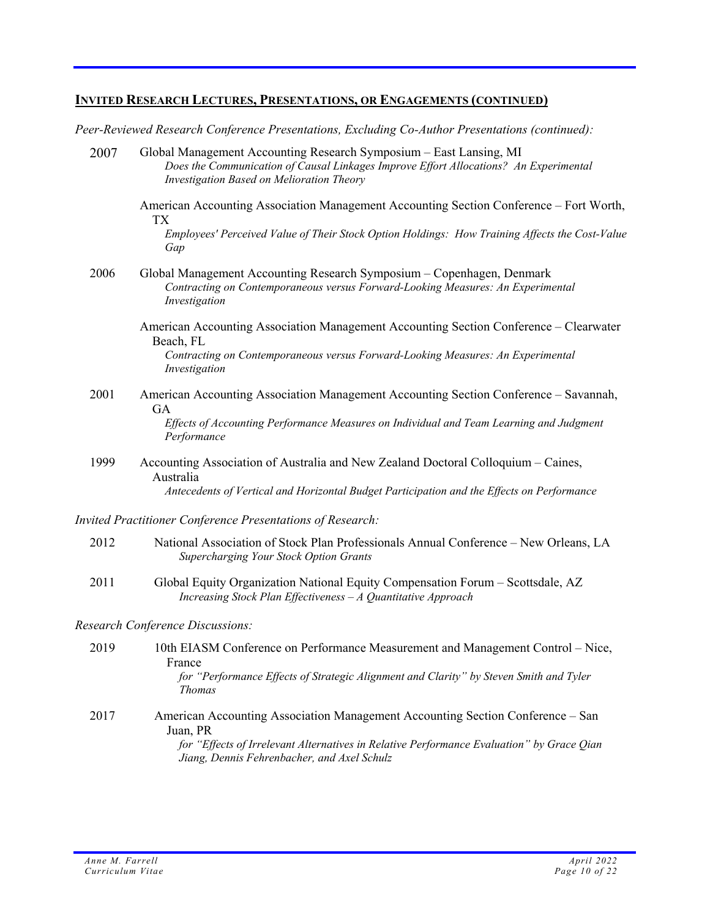*Peer-Reviewed Research Conference Presentations, Excluding Co-Author Presentations (continued):*

| 2007 | Global Management Accounting Research Symposium - East Lansing, MI<br>Does the Communication of Causal Linkages Improve Effort Allocations? An Experimental<br><b>Investigation Based on Melioration Theory</b> |
|------|-----------------------------------------------------------------------------------------------------------------------------------------------------------------------------------------------------------------|
|      | American Accounting Association Management Accounting Section Conference – Fort Worth,<br><b>TX</b>                                                                                                             |
|      | Employees' Perceived Value of Their Stock Option Holdings: How Training Affects the Cost-Value<br>Gap                                                                                                           |
| 2006 | Global Management Accounting Research Symposium - Copenhagen, Denmark<br>Contracting on Contemporaneous versus Forward-Looking Measures: An Experimental<br>Investigation                                       |
|      | American Accounting Association Management Accounting Section Conference – Clearwater<br>Beach, FL                                                                                                              |
|      | Contracting on Contemporaneous versus Forward-Looking Measures: An Experimental<br>Investigation                                                                                                                |
| 2001 | American Accounting Association Management Accounting Section Conference – Savannah,<br><b>GA</b>                                                                                                               |
|      | Effects of Accounting Performance Measures on Individual and Team Learning and Judgment<br>Performance                                                                                                          |
| 1999 | Accounting Association of Australia and New Zealand Doctoral Colloquium – Caines,<br>Australia                                                                                                                  |
|      | Antecedents of Vertical and Horizontal Budget Participation and the Effects on Performance                                                                                                                      |
|      | Invited Practitioner Conference Presentations of Research:                                                                                                                                                      |
| 2012 | National Association of Stock Plan Professionals Annual Conference – New Orleans, LA<br>Supercharging Your Stock Option Grants                                                                                  |
| 2011 | Global Equity Organization National Equity Compensation Forum – Scottsdale, AZ<br>Increasing Stock Plan Effectiveness $-A$ Quantitative Approach                                                                |
|      | <b>Research Conference Discussions:</b>                                                                                                                                                                         |
| 2019 | 10th EIASM Conference on Performance Measurement and Management Control – Nice,<br>France                                                                                                                       |
|      | for "Performance Effects of Strategic Alignment and Clarity" by Steven Smith and Tyler<br><b>Thomas</b>                                                                                                         |
| 2017 | American Accounting Association Management Accounting Section Conference – San<br>Juan, PR                                                                                                                      |
|      | for "Effects of Irrelevant Alternatives in Relative Performance Evaluation" by Grace Qian<br>Jiang, Dennis Fehrenbacher, and Axel Schulz                                                                        |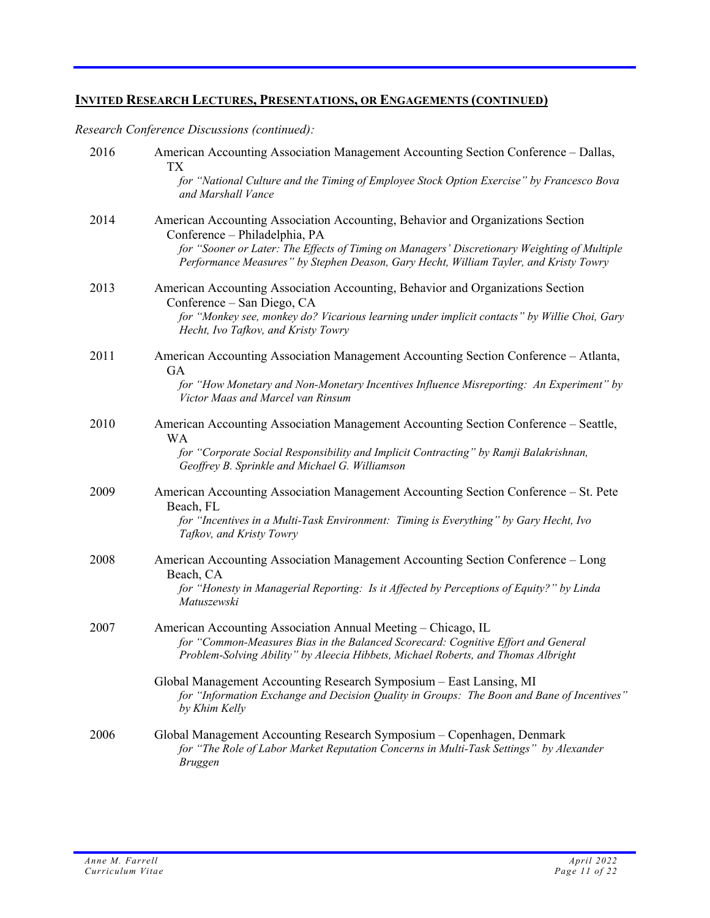*Research Conference Discussions (continued):* 

| 2016 | American Accounting Association Management Accounting Section Conference – Dallas,<br>TХ                                                                                                                                                            |
|------|-----------------------------------------------------------------------------------------------------------------------------------------------------------------------------------------------------------------------------------------------------|
|      | for "National Culture and the Timing of Employee Stock Option Exercise" by Francesco Bova<br>and Marshall Vance                                                                                                                                     |
| 2014 | American Accounting Association Accounting, Behavior and Organizations Section<br>Conference - Philadelphia, PA<br>for "Sooner or Later: The Effects of Timing on Managers' Discretionary Weighting of Multiple                                     |
|      | Performance Measures" by Stephen Deason, Gary Hecht, William Tayler, and Kristy Towry                                                                                                                                                               |
| 2013 | American Accounting Association Accounting, Behavior and Organizations Section<br>Conference – San Diego, CA<br>for "Monkey see, monkey do? Vicarious learning under implicit contacts" by Willie Choi, Gary<br>Hecht, Ivo Tafkov, and Kristy Towry |
| 2011 | American Accounting Association Management Accounting Section Conference - Atlanta,<br><b>GA</b>                                                                                                                                                    |
|      | for "How Monetary and Non-Monetary Incentives Influence Misreporting: An Experiment" by<br>Victor Maas and Marcel van Rinsum                                                                                                                        |
| 2010 | American Accounting Association Management Accounting Section Conference - Seattle,<br>WA                                                                                                                                                           |
|      | for "Corporate Social Responsibility and Implicit Contracting" by Ramji Balakrishnan,<br>Geoffrey B. Sprinkle and Michael G. Williamson                                                                                                             |
| 2009 | American Accounting Association Management Accounting Section Conference – St. Pete<br>Beach, FL                                                                                                                                                    |
|      | for "Incentives in a Multi-Task Environment: Timing is Everything" by Gary Hecht, Ivo<br>Tafkov, and Kristy Towry                                                                                                                                   |
| 2008 | American Accounting Association Management Accounting Section Conference – Long<br>Beach, CA                                                                                                                                                        |
|      | for "Honesty in Managerial Reporting: Is it Affected by Perceptions of Equity?" by Linda<br>Matuszewski                                                                                                                                             |
| 2007 | American Accounting Association Annual Meeting – Chicago, IL<br>for "Common-Measures Bias in the Balanced Scorecard: Cognitive Effort and General<br>Problem-Solving Ability" by Aleecia Hibbets, Michael Roberts, and Thomas Albright              |
|      | Global Management Accounting Research Symposium - East Lansing, MI<br>for "Information Exchange and Decision Quality in Groups: The Boon and Bane of Incentives"<br>by Khim Kelly                                                                   |
| 2006 | Global Management Accounting Research Symposium - Copenhagen, Denmark<br>for "The Role of Labor Market Reputation Concerns in Multi-Task Settings" by Alexander<br><b>Bruggen</b>                                                                   |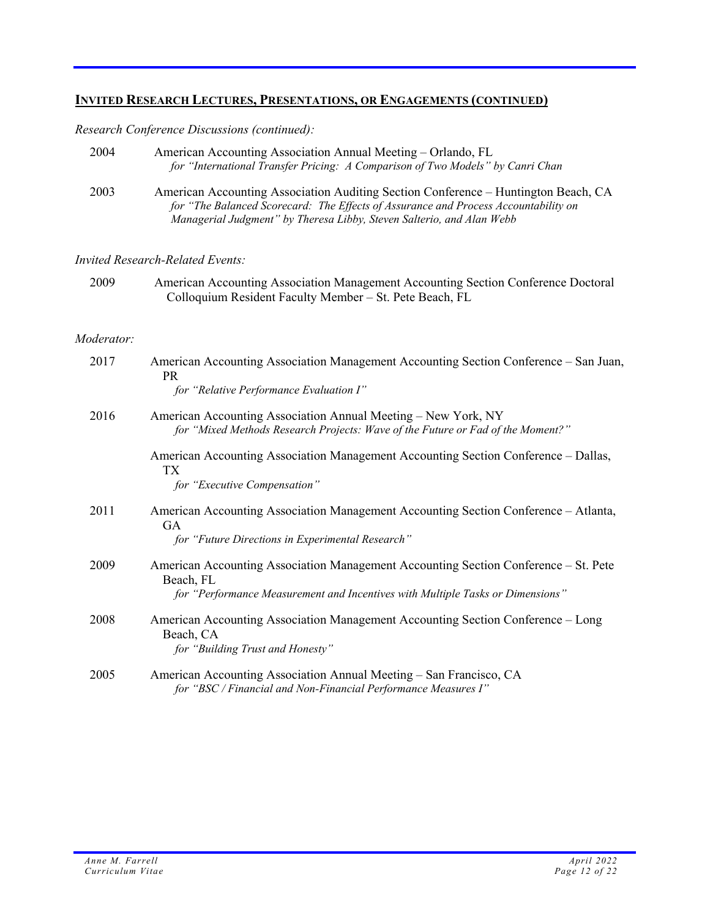## *Research Conference Discussions (continued):*

| 2004       | American Accounting Association Annual Meeting – Orlando, FL<br>for "International Transfer Pricing: A Comparison of Two Models" by Canri Chan                                                                                                     |
|------------|----------------------------------------------------------------------------------------------------------------------------------------------------------------------------------------------------------------------------------------------------|
| 2003       | American Accounting Association Auditing Section Conference - Huntington Beach, CA<br>for "The Balanced Scorecard: The Effects of Assurance and Process Accountability on<br>Managerial Judgment" by Theresa Libby, Steven Salterio, and Alan Webb |
|            | <b>Invited Research-Related Events:</b>                                                                                                                                                                                                            |
| 2009       | American Accounting Association Management Accounting Section Conference Doctoral<br>Colloquium Resident Faculty Member - St. Pete Beach, FL                                                                                                       |
| Moderator: |                                                                                                                                                                                                                                                    |
| 2017       | American Accounting Association Management Accounting Section Conference – San Juan,<br><b>PR</b><br>for "Relative Performance Evaluation I"                                                                                                       |
| 2016       | American Accounting Association Annual Meeting – New York, NY<br>for "Mixed Methods Research Projects: Wave of the Future or Fad of the Moment?"                                                                                                   |
|            | American Accounting Association Management Accounting Section Conference – Dallas,<br>TX<br>for "Executive Compensation"                                                                                                                           |
| 2011       | American Accounting Association Management Accounting Section Conference – Atlanta,<br>GA<br>for "Future Directions in Experimental Research"                                                                                                      |
| 2009       | American Accounting Association Management Accounting Section Conference – St. Pete<br>Beach, FL<br>for "Performance Measurement and Incentives with Multiple Tasks or Dimensions"                                                                 |
| 2008       | American Accounting Association Management Accounting Section Conference – Long<br>Beach, CA<br>for "Building Trust and Honesty"                                                                                                                   |
| 2005       | American Accounting Association Annual Meeting - San Francisco, CA<br>for "BSC / Financial and Non-Financial Performance Measures I"                                                                                                               |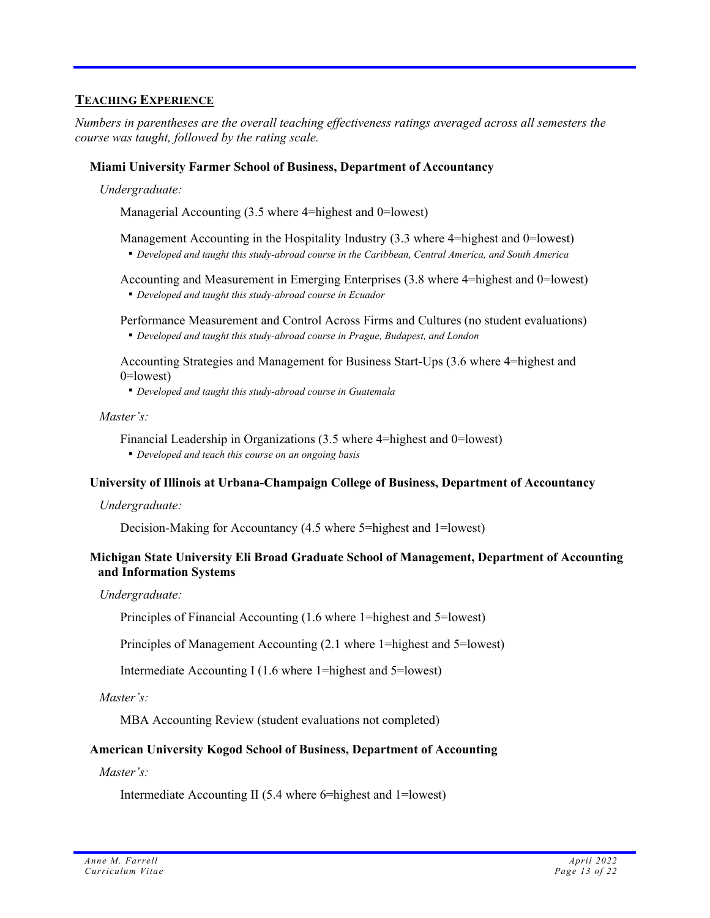## **TEACHING EXPERIENCE**

*Numbers in parentheses are the overall teaching effectiveness ratings averaged across all semesters the course was taught, followed by the rating scale.*

### **Miami University Farmer School of Business, Department of Accountancy**

 *Undergraduate:* 

Managerial Accounting (3.5 where 4=highest and 0=lowest)

Management Accounting in the Hospitality Industry (3.3 where 4=highest and 0=lowest)

▪ *Developed and taught this study-abroad course in the Caribbean, Central America, and South America*

 Accounting and Measurement in Emerging Enterprises (3.8 where 4=highest and 0=lowest) ▪ *Developed and taught this study-abroad course in Ecuador*

 Performance Measurement and Control Across Firms and Cultures (no student evaluations) ▪ *Developed and taught this study-abroad course in Prague, Budapest, and London*

 Accounting Strategies and Management for Business Start-Ups (3.6 where 4=highest and 0=lowest)

▪ *Developed and taught this study-abroad course in Guatemala*

 *Master's:* 

- Financial Leadership in Organizations (3.5 where 4=highest and 0=lowest)
- *Developed and teach this course on an ongoing basis*

### **University of Illinois at Urbana-Champaign College of Business, Department of Accountancy**

 *Undergraduate:* 

Decision-Making for Accountancy (4.5 where 5=highest and 1=lowest)

### **Michigan State University Eli Broad Graduate School of Management, Department of Accounting and Information Systems**

 *Undergraduate:* 

Principles of Financial Accounting (1.6 where 1=highest and 5=lowest)

Principles of Management Accounting (2.1 where 1=highest and 5=lowest)

Intermediate Accounting I (1.6 where 1=highest and 5=lowest)

 *Master's:* 

MBA Accounting Review (student evaluations not completed)

### **American University Kogod School of Business, Department of Accounting**

 *Master's:* 

Intermediate Accounting II (5.4 where 6=highest and 1=lowest)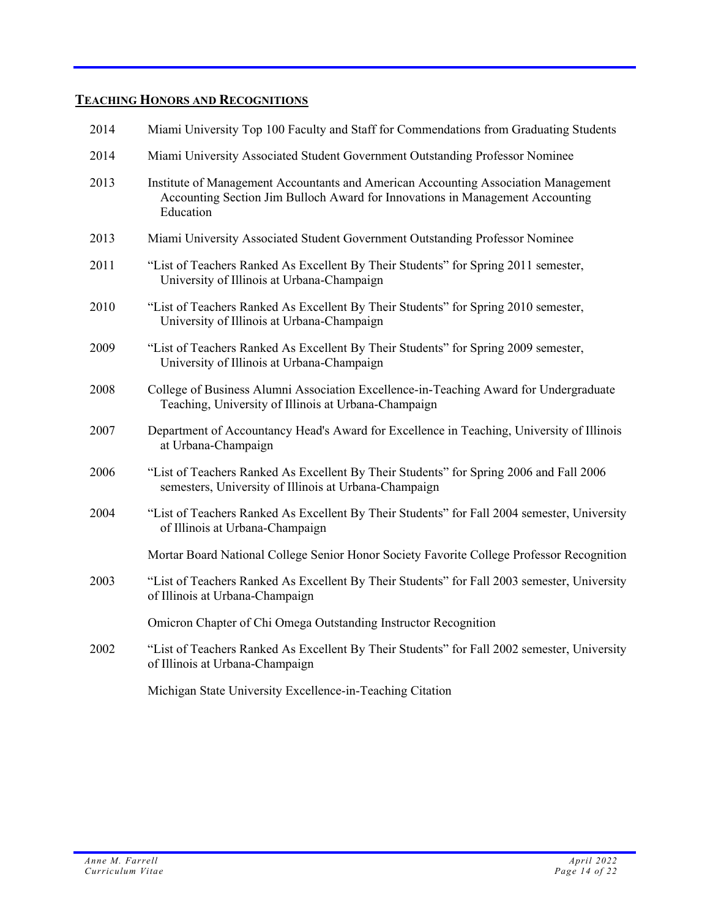# **TEACHING HONORS AND RECOGNITIONS**

| 2014 | Miami University Top 100 Faculty and Staff for Commendations from Graduating Students                                                                                            |
|------|----------------------------------------------------------------------------------------------------------------------------------------------------------------------------------|
| 2014 | Miami University Associated Student Government Outstanding Professor Nominee                                                                                                     |
| 2013 | Institute of Management Accountants and American Accounting Association Management<br>Accounting Section Jim Bulloch Award for Innovations in Management Accounting<br>Education |
| 2013 | Miami University Associated Student Government Outstanding Professor Nominee                                                                                                     |
| 2011 | "List of Teachers Ranked As Excellent By Their Students" for Spring 2011 semester,<br>University of Illinois at Urbana-Champaign                                                 |
| 2010 | "List of Teachers Ranked As Excellent By Their Students" for Spring 2010 semester,<br>University of Illinois at Urbana-Champaign                                                 |
| 2009 | "List of Teachers Ranked As Excellent By Their Students" for Spring 2009 semester,<br>University of Illinois at Urbana-Champaign                                                 |
| 2008 | College of Business Alumni Association Excellence-in-Teaching Award for Undergraduate<br>Teaching, University of Illinois at Urbana-Champaign                                    |
| 2007 | Department of Accountancy Head's Award for Excellence in Teaching, University of Illinois<br>at Urbana-Champaign                                                                 |
| 2006 | "List of Teachers Ranked As Excellent By Their Students" for Spring 2006 and Fall 2006<br>semesters, University of Illinois at Urbana-Champaign                                  |
| 2004 | "List of Teachers Ranked As Excellent By Their Students" for Fall 2004 semester, University<br>of Illinois at Urbana-Champaign                                                   |
|      | Mortar Board National College Senior Honor Society Favorite College Professor Recognition                                                                                        |
| 2003 | "List of Teachers Ranked As Excellent By Their Students" for Fall 2003 semester, University<br>of Illinois at Urbana-Champaign                                                   |
|      | Omicron Chapter of Chi Omega Outstanding Instructor Recognition                                                                                                                  |
| 2002 | "List of Teachers Ranked As Excellent By Their Students" for Fall 2002 semester, University<br>of Illinois at Urbana-Champaign                                                   |
|      | Michigan State University Excellence-in-Teaching Citation                                                                                                                        |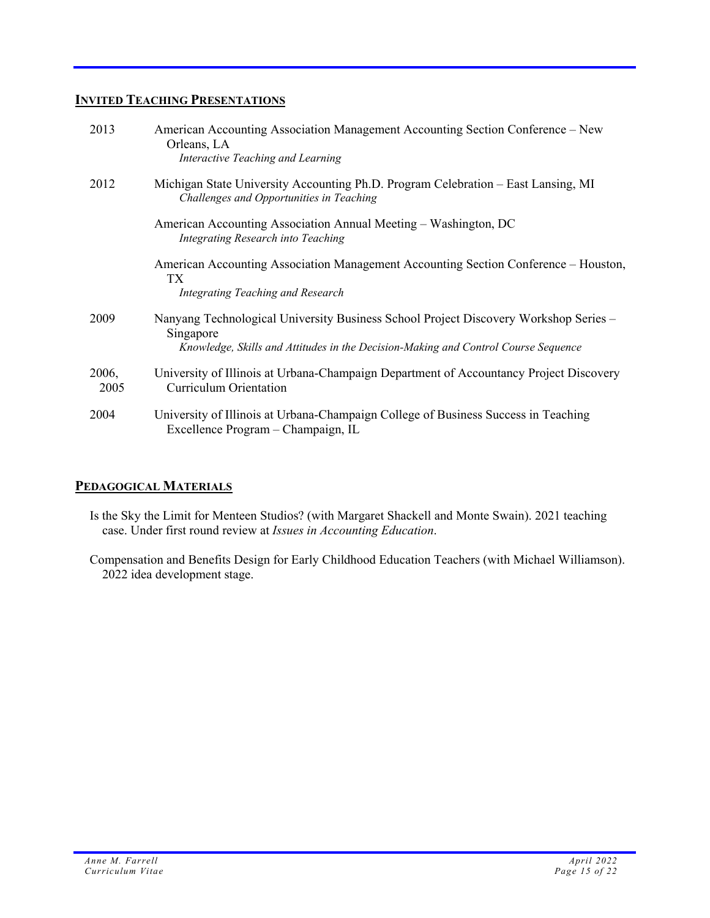## **INVITED TEACHING PRESENTATIONS**

| 2013          | American Accounting Association Management Accounting Section Conference – New<br>Orleans, LA<br>Interactive Teaching and Learning                                                      |
|---------------|-----------------------------------------------------------------------------------------------------------------------------------------------------------------------------------------|
| 2012          | Michigan State University Accounting Ph.D. Program Celebration – East Lansing, MI<br>Challenges and Opportunities in Teaching                                                           |
|               | American Accounting Association Annual Meeting – Washington, DC<br>Integrating Research into Teaching                                                                                   |
|               | American Accounting Association Management Accounting Section Conference – Houston,<br>TX <sup>-</sup><br><b>Integrating Teaching and Research</b>                                      |
| 2009          | Nanyang Technological University Business School Project Discovery Workshop Series -<br>Singapore<br>Knowledge, Skills and Attitudes in the Decision-Making and Control Course Sequence |
| 2006,<br>2005 | University of Illinois at Urbana-Champaign Department of Accountancy Project Discovery<br><b>Curriculum Orientation</b>                                                                 |
| 2004          | University of Illinois at Urbana-Champaign College of Business Success in Teaching<br>Excellence Program - Champaign, IL                                                                |

## **PEDAGOGICAL MATERIALS**

- Is the Sky the Limit for Menteen Studios? (with Margaret Shackell and Monte Swain). 2021 teaching case. Under first round review at *Issues in Accounting Education*.
- Compensation and Benefits Design for Early Childhood Education Teachers (with Michael Williamson). 2022 idea development stage.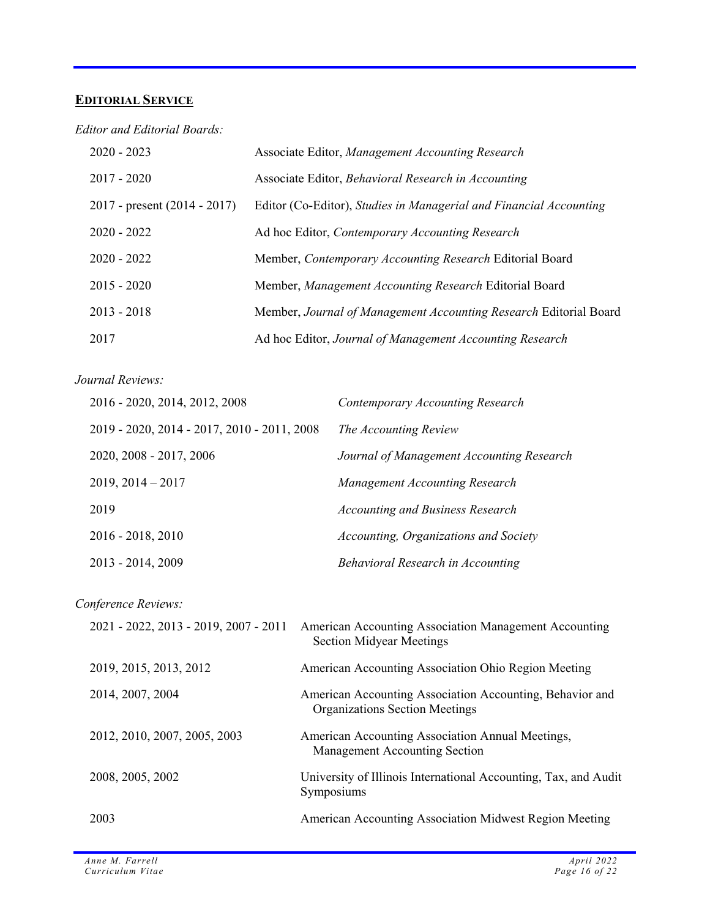# **EDITORIAL SERVICE**

*Editor and Editorial Boards:* 

| $2020 - 2023$                    | Associate Editor, Management Accounting Research                   |
|----------------------------------|--------------------------------------------------------------------|
| $2017 - 2020$                    | Associate Editor, Behavioral Research in Accounting                |
| $2017$ - present $(2014 - 2017)$ | Editor (Co-Editor), Studies in Managerial and Financial Accounting |
| $2020 - 2022$                    | Ad hoc Editor, Contemporary Accounting Research                    |
| $2020 - 2022$                    | Member, Contemporary Accounting Research Editorial Board           |
| $2015 - 2020$                    | Member, Management Accounting Research Editorial Board             |
| $2013 - 2018$                    | Member, Journal of Management Accounting Research Editorial Board  |
| 2017                             | Ad hoc Editor, Journal of Management Accounting Research           |

### *Journal Reviews:*

| 2016 - 2020, 2014, 2012, 2008               | Contemporary Accounting Research          |
|---------------------------------------------|-------------------------------------------|
| 2019 - 2020, 2014 - 2017, 2010 - 2011, 2008 | The Accounting Review                     |
| 2020, 2008 - 2017, 2006                     | Journal of Management Accounting Research |
| $2019, 2014 - 2017$                         | Management Accounting Research            |
| 2019                                        | <b>Accounting and Business Research</b>   |
| $2016 - 2018, 2010$                         | Accounting, Organizations and Society     |
| $2013 - 2014, 2009$                         | <b>Behavioral Research in Accounting</b>  |

*Conference Reviews:* 

| 2021 - 2022, 2013 - 2019, 2007 - 2011 | American Accounting Association Management Accounting<br><b>Section Midyear Meetings</b>          |
|---------------------------------------|---------------------------------------------------------------------------------------------------|
| 2019, 2015, 2013, 2012                | American Accounting Association Ohio Region Meeting                                               |
| 2014, 2007, 2004                      | American Accounting Association Accounting, Behavior and<br><b>Organizations Section Meetings</b> |
| 2012, 2010, 2007, 2005, 2003          | American Accounting Association Annual Meetings,<br>Management Accounting Section                 |
| 2008, 2005, 2002                      | University of Illinois International Accounting, Tax, and Audit<br>Symposiums                     |
| 2003                                  | American Accounting Association Midwest Region Meeting                                            |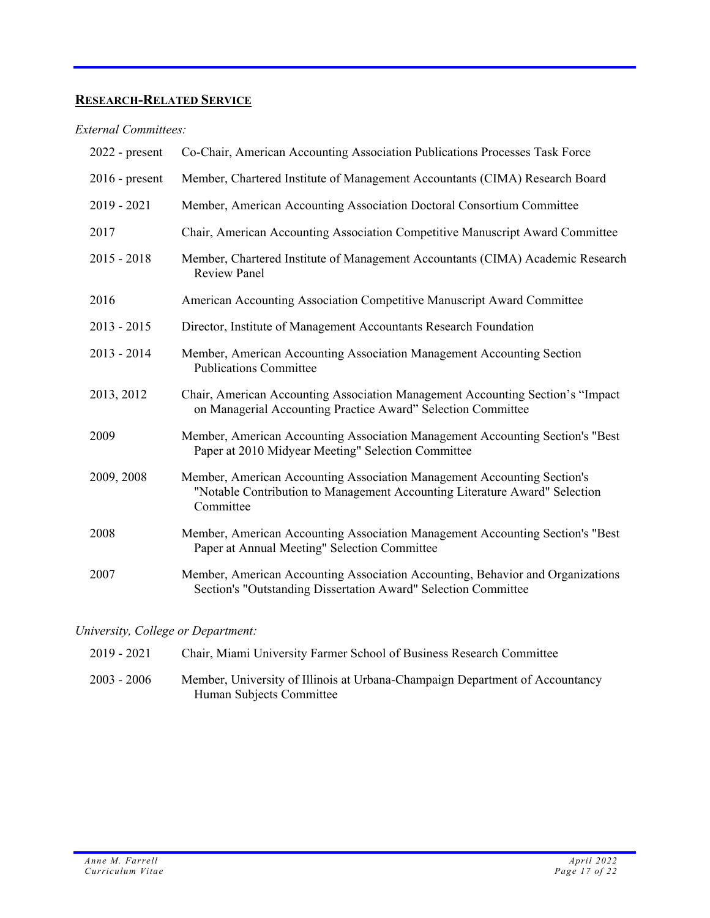# **RESEARCH-RELATED SERVICE**

### *External Committees:*

| $2022$ - present | Co-Chair, American Accounting Association Publications Processes Task Force                                                                                        |
|------------------|--------------------------------------------------------------------------------------------------------------------------------------------------------------------|
| $2016$ - present | Member, Chartered Institute of Management Accountants (CIMA) Research Board                                                                                        |
| $2019 - 2021$    | Member, American Accounting Association Doctoral Consortium Committee                                                                                              |
| 2017             | Chair, American Accounting Association Competitive Manuscript Award Committee                                                                                      |
| $2015 - 2018$    | Member, Chartered Institute of Management Accountants (CIMA) Academic Research<br><b>Review Panel</b>                                                              |
| 2016             | American Accounting Association Competitive Manuscript Award Committee                                                                                             |
| $2013 - 2015$    | Director, Institute of Management Accountants Research Foundation                                                                                                  |
| $2013 - 2014$    | Member, American Accounting Association Management Accounting Section<br><b>Publications Committee</b>                                                             |
| 2013, 2012       | Chair, American Accounting Association Management Accounting Section's "Impact<br>on Managerial Accounting Practice Award" Selection Committee                     |
| 2009             | Member, American Accounting Association Management Accounting Section's "Best<br>Paper at 2010 Midyear Meeting" Selection Committee                                |
| 2009, 2008       | Member, American Accounting Association Management Accounting Section's<br>"Notable Contribution to Management Accounting Literature Award" Selection<br>Committee |
| 2008             | Member, American Accounting Association Management Accounting Section's "Best<br>Paper at Annual Meeting" Selection Committee                                      |
| 2007             | Member, American Accounting Association Accounting, Behavior and Organizations<br>Section's "Outstanding Dissertation Award" Selection Committee                   |

*University, College or Department:* 

| 2019 - 2021   | Chair, Miami University Farmer School of Business Research Committee         |
|---------------|------------------------------------------------------------------------------|
| $2003 - 2006$ | Member, University of Illinois at Urbana-Champaign Department of Accountancy |
|               | Human Subjects Committee                                                     |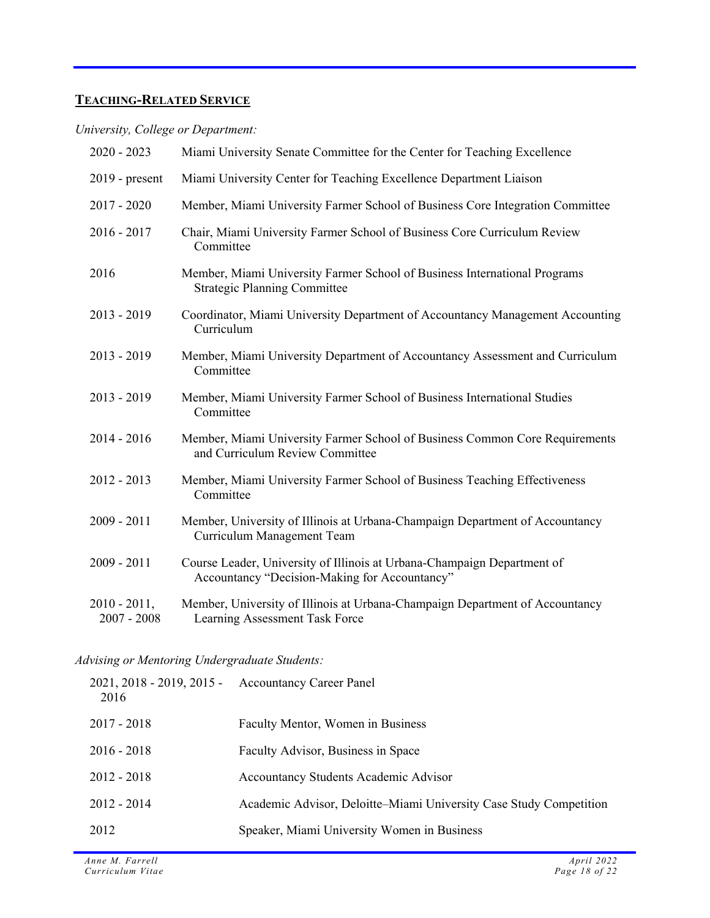# **TEACHING-RELATED SERVICE**

*University, College or Department:* 

| $2020 - 2023$                    | Miami University Senate Committee for the Center for Teaching Excellence                                                 |
|----------------------------------|--------------------------------------------------------------------------------------------------------------------------|
| $2019$ - present                 | Miami University Center for Teaching Excellence Department Liaison                                                       |
| $2017 - 2020$                    | Member, Miami University Farmer School of Business Core Integration Committee                                            |
| $2016 - 2017$                    | Chair, Miami University Farmer School of Business Core Curriculum Review<br>Committee                                    |
| 2016                             | Member, Miami University Farmer School of Business International Programs<br><b>Strategic Planning Committee</b>         |
| $2013 - 2019$                    | Coordinator, Miami University Department of Accountancy Management Accounting<br>Curriculum                              |
| $2013 - 2019$                    | Member, Miami University Department of Accountancy Assessment and Curriculum<br>Committee                                |
| $2013 - 2019$                    | Member, Miami University Farmer School of Business International Studies<br>Committee                                    |
| $2014 - 2016$                    | Member, Miami University Farmer School of Business Common Core Requirements<br>and Curriculum Review Committee           |
| $2012 - 2013$                    | Member, Miami University Farmer School of Business Teaching Effectiveness<br>Committee                                   |
| $2009 - 2011$                    | Member, University of Illinois at Urbana-Champaign Department of Accountancy<br>Curriculum Management Team               |
| 2009 - 2011                      | Course Leader, University of Illinois at Urbana-Champaign Department of<br>Accountancy "Decision-Making for Accountancy" |
| $2010 - 2011$ ,<br>$2007 - 2008$ | Member, University of Illinois at Urbana-Champaign Department of Accountancy<br>Learning Assessment Task Force           |

## *Advising or Mentoring Undergraduate Students:*

| $2021, 2018 - 2019, 2015 -$<br>2016 | <b>Accountancy Career Panel</b>                                    |
|-------------------------------------|--------------------------------------------------------------------|
| $2017 - 2018$                       | Faculty Mentor, Women in Business                                  |
| $2016 - 2018$                       | Faculty Advisor, Business in Space                                 |
| $2012 - 2018$                       | Accountancy Students Academic Advisor                              |
| $2012 - 2014$                       | Academic Advisor, Deloitte–Miami University Case Study Competition |
| 2012                                | Speaker, Miami University Women in Business                        |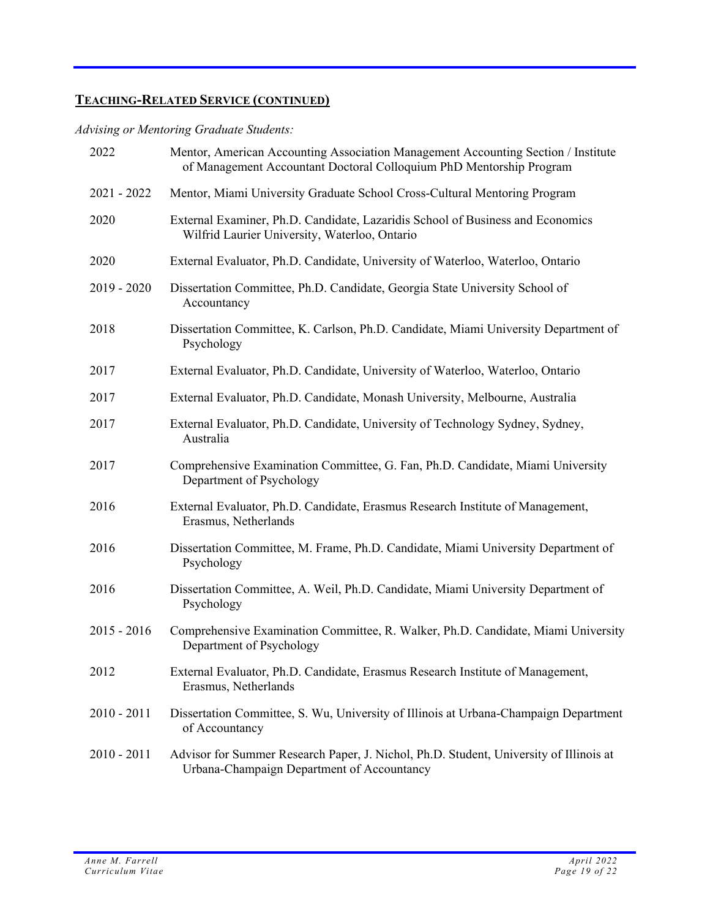# **TEACHING-RELATED SERVICE (CONTINUED)**

# *Advising or Mentoring Graduate Students:*

| 2022          | Mentor, American Accounting Association Management Accounting Section / Institute<br>of Management Accountant Doctoral Colloquium PhD Mentorship Program |
|---------------|----------------------------------------------------------------------------------------------------------------------------------------------------------|
| $2021 - 2022$ | Mentor, Miami University Graduate School Cross-Cultural Mentoring Program                                                                                |
| 2020          | External Examiner, Ph.D. Candidate, Lazaridis School of Business and Economics<br>Wilfrid Laurier University, Waterloo, Ontario                          |
| 2020          | External Evaluator, Ph.D. Candidate, University of Waterloo, Waterloo, Ontario                                                                           |
| $2019 - 2020$ | Dissertation Committee, Ph.D. Candidate, Georgia State University School of<br>Accountancy                                                               |
| 2018          | Dissertation Committee, K. Carlson, Ph.D. Candidate, Miami University Department of<br>Psychology                                                        |
| 2017          | External Evaluator, Ph.D. Candidate, University of Waterloo, Waterloo, Ontario                                                                           |
| 2017          | External Evaluator, Ph.D. Candidate, Monash University, Melbourne, Australia                                                                             |
| 2017          | External Evaluator, Ph.D. Candidate, University of Technology Sydney, Sydney,<br>Australia                                                               |
| 2017          | Comprehensive Examination Committee, G. Fan, Ph.D. Candidate, Miami University<br>Department of Psychology                                               |
| 2016          | External Evaluator, Ph.D. Candidate, Erasmus Research Institute of Management,<br>Erasmus, Netherlands                                                   |
| 2016          | Dissertation Committee, M. Frame, Ph.D. Candidate, Miami University Department of<br>Psychology                                                          |
| 2016          | Dissertation Committee, A. Weil, Ph.D. Candidate, Miami University Department of<br>Psychology                                                           |
| $2015 - 2016$ | Comprehensive Examination Committee, R. Walker, Ph.D. Candidate, Miami University<br>Department of Psychology                                            |
| 2012          | External Evaluator, Ph.D. Candidate, Erasmus Research Institute of Management,<br>Erasmus, Netherlands                                                   |
| $2010 - 2011$ | Dissertation Committee, S. Wu, University of Illinois at Urbana-Champaign Department<br>of Accountancy                                                   |
| $2010 - 2011$ | Advisor for Summer Research Paper, J. Nichol, Ph.D. Student, University of Illinois at<br>Urbana-Champaign Department of Accountancy                     |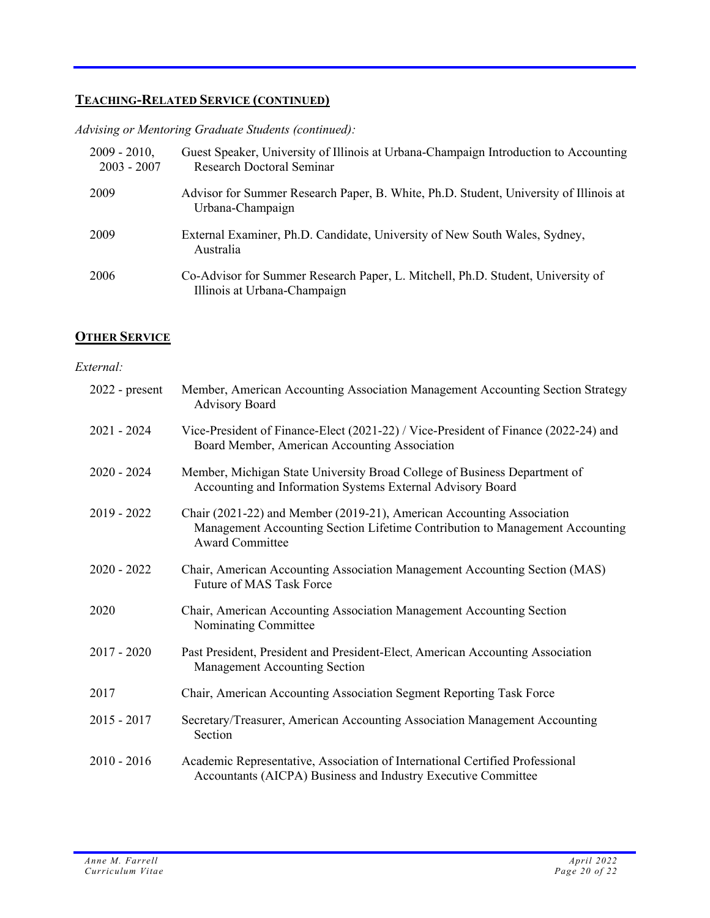# **TEACHING-RELATED SERVICE (CONTINUED)**

*Advising or Mentoring Graduate Students (continued):* 

| $2009 - 2010$ ,<br>$2003 - 2007$ | Guest Speaker, University of Illinois at Urbana-Champaign Introduction to Accounting<br>Research Doctoral Seminar |
|----------------------------------|-------------------------------------------------------------------------------------------------------------------|
| 2009                             | Advisor for Summer Research Paper, B. White, Ph.D. Student, University of Illinois at<br>Urbana-Champaign         |
| 2009                             | External Examiner, Ph.D. Candidate, University of New South Wales, Sydney,<br>Australia                           |
| 2006                             | Co-Advisor for Summer Research Paper, L. Mitchell, Ph.D. Student, University of<br>Illinois at Urbana-Champaign   |

### **OTHER SERVICE**

### *External:*

| $2022$ - present | Member, American Accounting Association Management Accounting Section Strategy<br><b>Advisory Board</b>                                                                         |
|------------------|---------------------------------------------------------------------------------------------------------------------------------------------------------------------------------|
| $2021 - 2024$    | Vice-President of Finance-Elect (2021-22) / Vice-President of Finance (2022-24) and<br>Board Member, American Accounting Association                                            |
| $2020 - 2024$    | Member, Michigan State University Broad College of Business Department of<br>Accounting and Information Systems External Advisory Board                                         |
| 2019 - 2022      | Chair (2021-22) and Member (2019-21), American Accounting Association<br>Management Accounting Section Lifetime Contribution to Management Accounting<br><b>Award Committee</b> |
| $2020 - 2022$    | Chair, American Accounting Association Management Accounting Section (MAS)<br>Future of MAS Task Force                                                                          |
| 2020             | Chair, American Accounting Association Management Accounting Section<br>Nominating Committee                                                                                    |
| $2017 - 2020$    | Past President, President and President-Elect, American Accounting Association<br>Management Accounting Section                                                                 |
| 2017             | Chair, American Accounting Association Segment Reporting Task Force                                                                                                             |
| $2015 - 2017$    | Secretary/Treasurer, American Accounting Association Management Accounting<br>Section                                                                                           |
| $2010 - 2016$    | Academic Representative, Association of International Certified Professional<br>Accountants (AICPA) Business and Industry Executive Committee                                   |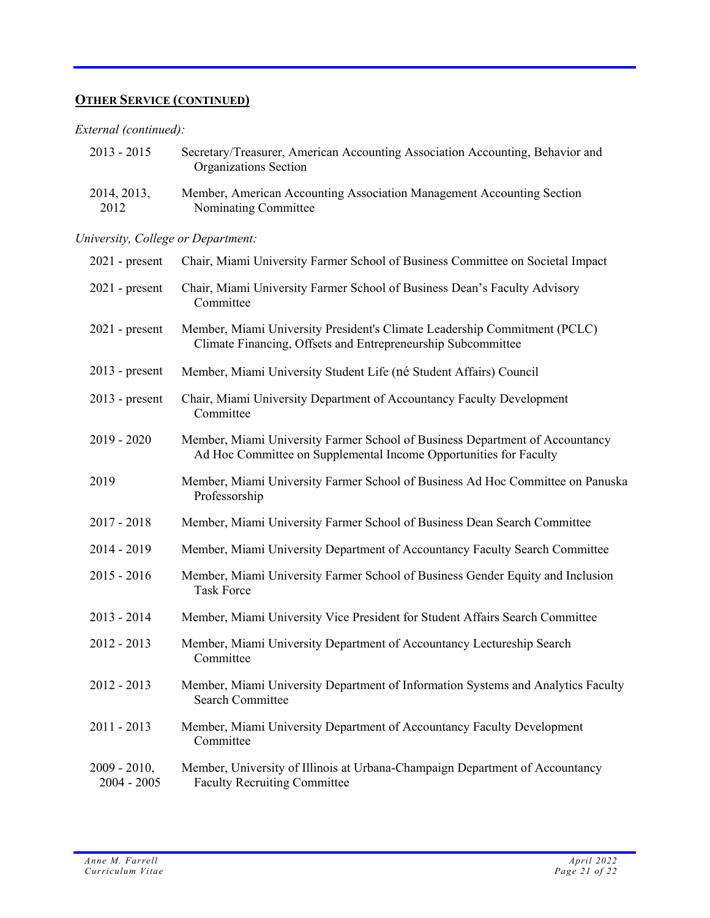# **OTHER SERVICE (CONTINUED)**

## *External (continued):*

| 2013 - 2015 | Secretary/Treasurer, American Accounting Association Accounting, Behavior and<br>Organizations Section |
|-------------|--------------------------------------------------------------------------------------------------------|
| 2014, 2013, | Member, American Accounting Association Management Accounting Section                                  |
| 2012        | Nominating Committee                                                                                   |

# *University, College or Department:*

| $2021$ - present                 | Chair, Miami University Farmer School of Business Committee on Societal Impact                                                                    |
|----------------------------------|---------------------------------------------------------------------------------------------------------------------------------------------------|
| $2021$ - present                 | Chair, Miami University Farmer School of Business Dean's Faculty Advisory<br>Committee                                                            |
| $2021$ - present                 | Member, Miami University President's Climate Leadership Commitment (PCLC)<br>Climate Financing, Offsets and Entrepreneurship Subcommittee         |
| $2013$ - present                 | Member, Miami University Student Life (né Student Affairs) Council                                                                                |
| $2013$ - present                 | Chair, Miami University Department of Accountancy Faculty Development<br>Committee                                                                |
| $2019 - 2020$                    | Member, Miami University Farmer School of Business Department of Accountancy<br>Ad Hoc Committee on Supplemental Income Opportunities for Faculty |
| 2019                             | Member, Miami University Farmer School of Business Ad Hoc Committee on Panuska<br>Professorship                                                   |
| $2017 - 2018$                    | Member, Miami University Farmer School of Business Dean Search Committee                                                                          |
| 2014 - 2019                      | Member, Miami University Department of Accountancy Faculty Search Committee                                                                       |
| $2015 - 2016$                    | Member, Miami University Farmer School of Business Gender Equity and Inclusion<br><b>Task Force</b>                                               |
| $2013 - 2014$                    | Member, Miami University Vice President for Student Affairs Search Committee                                                                      |
| 2012 - 2013                      | Member, Miami University Department of Accountancy Lectureship Search<br>Committee                                                                |
| 2012 - 2013                      | Member, Miami University Department of Information Systems and Analytics Faculty<br><b>Search Committee</b>                                       |
| $2011 - 2013$                    | Member, Miami University Department of Accountancy Faculty Development<br>Committee                                                               |
| $2009 - 2010$ ,<br>$2004 - 2005$ | Member, University of Illinois at Urbana-Champaign Department of Accountancy<br><b>Faculty Recruiting Committee</b>                               |